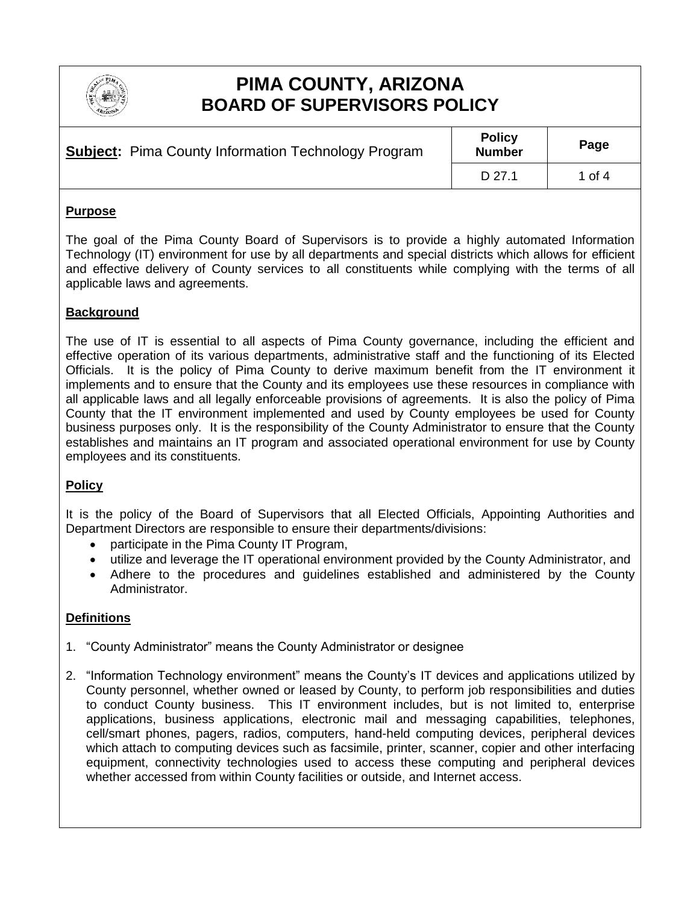

# **PIMA COUNTY, ARIZONA BOARD OF SUPERVISORS POLICY**

| <b>Subject:</b> Pima County Information Technology Program | <b>Policy</b><br><b>Number</b> | Page   |
|------------------------------------------------------------|--------------------------------|--------|
|                                                            | D 27.1                         | 1 of 4 |

#### **Purpose**

The goal of the Pima County Board of Supervisors is to provide a highly automated Information Technology (IT) environment for use by all departments and special districts which allows for efficient and effective delivery of County services to all constituents while complying with the terms of all applicable laws and agreements.

## **Background**

The use of IT is essential to all aspects of Pima County governance, including the efficient and effective operation of its various departments, administrative staff and the functioning of its Elected Officials. It is the policy of Pima County to derive maximum benefit from the IT environment it implements and to ensure that the County and its employees use these resources in compliance with all applicable laws and all legally enforceable provisions of agreements. It is also the policy of Pima County that the IT environment implemented and used by County employees be used for County business purposes only. It is the responsibility of the County Administrator to ensure that the County establishes and maintains an IT program and associated operational environment for use by County employees and its constituents.

# **Policy**

It is the policy of the Board of Supervisors that all Elected Officials, Appointing Authorities and Department Directors are responsible to ensure their departments/divisions:

- participate in the Pima County IT Program,
- utilize and leverage the IT operational environment provided by the County Administrator, and
- Adhere to the procedures and guidelines established and administered by the County Administrator.

# **Definitions**

- 1. "County Administrator" means the County Administrator or designee
- 2. "Information Technology environment" means the County's IT devices and applications utilized by County personnel, whether owned or leased by County, to perform job responsibilities and duties to conduct County business. This IT environment includes, but is not limited to, enterprise applications, business applications, electronic mail and messaging capabilities, telephones, cell/smart phones, pagers, radios, computers, hand-held computing devices, peripheral devices which attach to computing devices such as facsimile, printer, scanner, copier and other interfacing equipment, connectivity technologies used to access these computing and peripheral devices whether accessed from within County facilities or outside, and Internet access.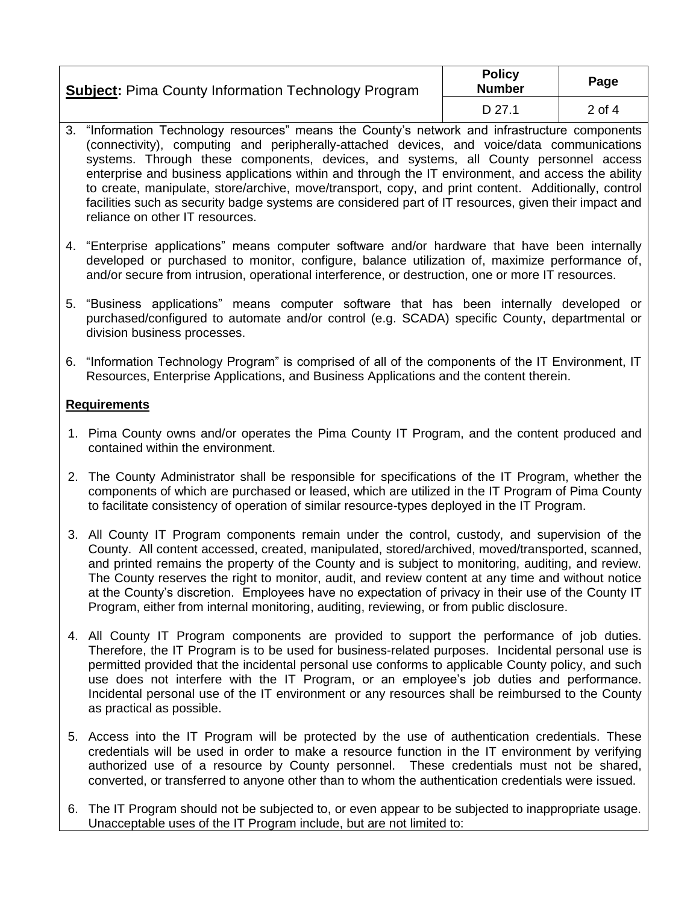| <b>Subject: Pima County Information Technology Program</b> | <b>Policy</b><br><b>Number</b> | Page   |
|------------------------------------------------------------|--------------------------------|--------|
|                                                            | D 27.1                         | 2 of 4 |

- 3. "Information Technology resources" means the County's network and infrastructure components (connectivity), computing and peripherally-attached devices, and voice/data communications systems. Through these components, devices, and systems, all County personnel access enterprise and business applications within and through the IT environment, and access the ability to create, manipulate, store/archive, move/transport, copy, and print content. Additionally, control facilities such as security badge systems are considered part of IT resources, given their impact and reliance on other IT resources.
- 4. "Enterprise applications" means computer software and/or hardware that have been internally developed or purchased to monitor, configure, balance utilization of, maximize performance of, and/or secure from intrusion, operational interference, or destruction, one or more IT resources.
- 5. "Business applications" means computer software that has been internally developed or purchased/configured to automate and/or control (e.g. SCADA) specific County, departmental or division business processes.
- 6. "Information Technology Program" is comprised of all of the components of the IT Environment, IT Resources, Enterprise Applications, and Business Applications and the content therein.

## **Requirements**

- 1. Pima County owns and/or operates the Pima County IT Program, and the content produced and contained within the environment.
- 2. The County Administrator shall be responsible for specifications of the IT Program, whether the components of which are purchased or leased, which are utilized in the IT Program of Pima County to facilitate consistency of operation of similar resource-types deployed in the IT Program.
- 3. All County IT Program components remain under the control, custody, and supervision of the County. All content accessed, created, manipulated, stored/archived, moved/transported, scanned, and printed remains the property of the County and is subject to monitoring, auditing, and review. The County reserves the right to monitor, audit, and review content at any time and without notice at the County's discretion. Employees have no expectation of privacy in their use of the County IT Program, either from internal monitoring, auditing, reviewing, or from public disclosure.
- 4. All County IT Program components are provided to support the performance of job duties. Therefore, the IT Program is to be used for business-related purposes. Incidental personal use is permitted provided that the incidental personal use conforms to applicable County policy, and such use does not interfere with the IT Program, or an employee's job duties and performance. Incidental personal use of the IT environment or any resources shall be reimbursed to the County as practical as possible.
- 5. Access into the IT Program will be protected by the use of authentication credentials. These credentials will be used in order to make a resource function in the IT environment by verifying authorized use of a resource by County personnel. These credentials must not be shared, converted, or transferred to anyone other than to whom the authentication credentials were issued.
- 6. The IT Program should not be subjected to, or even appear to be subjected to inappropriate usage. Unacceptable uses of the IT Program include, but are not limited to: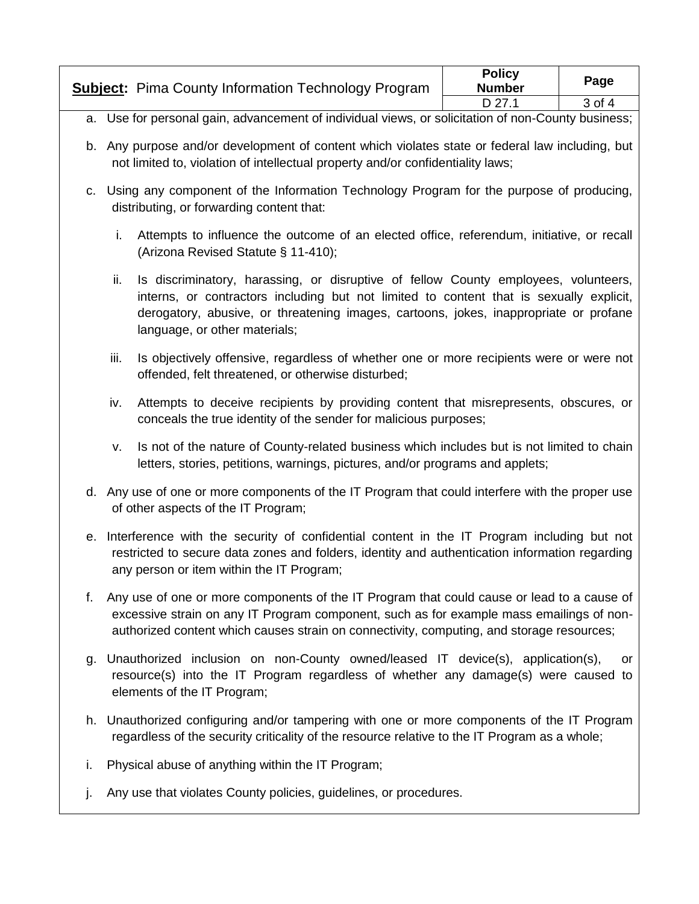| <b>Subject:</b> Pima County Information Technology Program | <b>Policy</b><br><b>Number</b> | Page       |
|------------------------------------------------------------|--------------------------------|------------|
|                                                            | D 27.1                         | $3$ of $4$ |

- a. Use for personal gain, advancement of individual views, or solicitation of non-County business;
- b. Any purpose and/or development of content which violates state or federal law including, but not limited to, violation of intellectual property and/or confidentiality laws;
- c. Using any component of the Information Technology Program for the purpose of producing, distributing, or forwarding content that:
	- i. Attempts to influence the outcome of an elected office, referendum, initiative, or recall (Arizona Revised Statute § 11-410);
	- ii. Is discriminatory, harassing, or disruptive of fellow County employees, volunteers, interns, or contractors including but not limited to content that is sexually explicit, derogatory, abusive, or threatening images, cartoons, jokes, inappropriate or profane language, or other materials;
	- iii. Is objectively offensive, regardless of whether one or more recipients were or were not offended, felt threatened, or otherwise disturbed;
	- iv. Attempts to deceive recipients by providing content that misrepresents, obscures, or conceals the true identity of the sender for malicious purposes;
	- v. Is not of the nature of County-related business which includes but is not limited to chain letters, stories, petitions, warnings, pictures, and/or programs and applets;
- d. Any use of one or more components of the IT Program that could interfere with the proper use of other aspects of the IT Program;
- e. Interference with the security of confidential content in the IT Program including but not restricted to secure data zones and folders, identity and authentication information regarding any person or item within the IT Program;
- f. Any use of one or more components of the IT Program that could cause or lead to a cause of excessive strain on any IT Program component, such as for example mass emailings of nonauthorized content which causes strain on connectivity, computing, and storage resources;
- g. Unauthorized inclusion on non-County owned/leased IT device(s), application(s), or resource(s) into the IT Program regardless of whether any damage(s) were caused to elements of the IT Program;
- h. Unauthorized configuring and/or tampering with one or more components of the IT Program regardless of the security criticality of the resource relative to the IT Program as a whole;
- i. Physical abuse of anything within the IT Program;
- j. Any use that violates County policies, guidelines, or procedures.